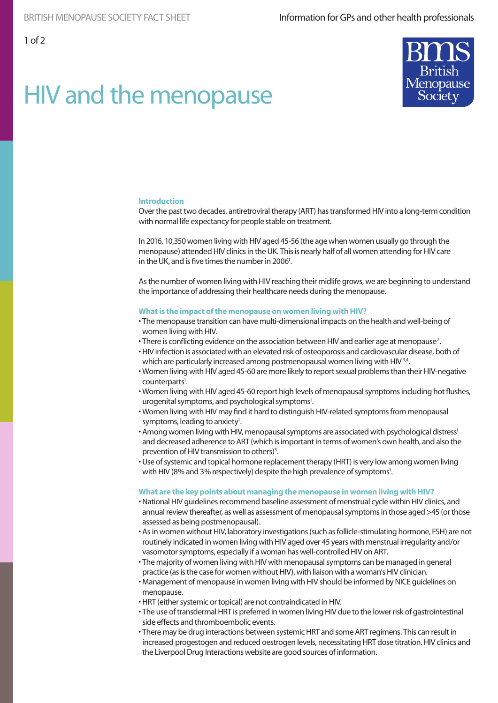# HIV and the menopause



## **Introduction**

Over the past two decades, antiretroviral therapy (ART) has transformed HIV into a long-term condition with normal life expectancy for people stable on treatment.

In 2016, 10,350 women living with HIV aged 45-56 (the age when women usually go through the menopause) attended HIV clinics in the UK. This is nearly half of all women attending for HIV care in the UK, and is five times the number in 2006<sup>1</sup>.

As the number of women living with HIV reaching their midlife grows, we are beginning to understand the importance of addressing their healthcare needs during the menopause.

#### **What is the impact of the menopause on women living with HIV?**

- The menopause transition can have multi-dimensional impacts on the health and well-being of women living with HIV.
- $\cdot$  There is conflicting evidence on the association between HIV and earlier age at menopause<sup>2</sup>.
- HIV infection is associated with an elevated risk of osteoporosis and cardiovascular disease, both of which are particularly increased among postmenopausal women living with HIV<sup>3,4</sup>.
- Women living with HIV aged 45-60 are more likely to report sexual problems than their HIV-negative counterparts<sup>1</sup>.
- Women living with HIV aged 45-60 report high levels of menopausal symptoms including hot flushes, urogenital symptoms, and psychological symptoms<sup>1</sup>.
- Women living with HIV may find it hard to distinguish HIV-related symptoms from menopausal symptoms, leading to anxiety<sup>1</sup>.
- Among women living with HIV, menopausal symptoms are associated with psychological distress<sup>1</sup> and decreased adherence to ART (which is important in terms of women's own health, and also the prevention of HIV transmission to others)<sup>5</sup>.
- Use of systemic and topical hormone replacement therapy (HRT) is very low among women living with HIV (8% and 3% respectively) despite the high prevalence of symptoms<sup>1</sup>.

#### **What are the key points about managing the menopause in women living with HIV?**

- National HIV guidelines recommend baseline assessment of menstrual cycle within HIV clinics, and annual review thereafter, as well as assessment of menopausal symptoms in those aged >45 (or those assessed as being postmenopausal).
- As in women without HIV, laboratory investigations (such as follicle-stimulating hormone, FSH) are not routinely indicated in women living with HIV aged over 45 years with menstrual irregularity and/or vasomotor symptoms, especially if a woman has well-controlled HIV on ART.
- The majority of women living with HIV with menopausal symptoms can be managed in general practice (as is the case for women without HIV), with liaison with a woman's HIV clinician.
- Management of menopause in women living with HIV should be informed by NICE guidelines on menopause.
- HRT (either systemic or topical) are not contraindicated in HIV.
- The use of transdermal HRT is preferred in women living HIV due to the lower risk of gastrointestinal side effects and thromboembolic events.
- There may be drug interactions between systemic HRT and some ART regimens. This can result in increased progestogen and reduced oestrogen levels, necessitating HRT dose titration. HIV clinics and the Liverpool Drug Interactions website are good sources of information.